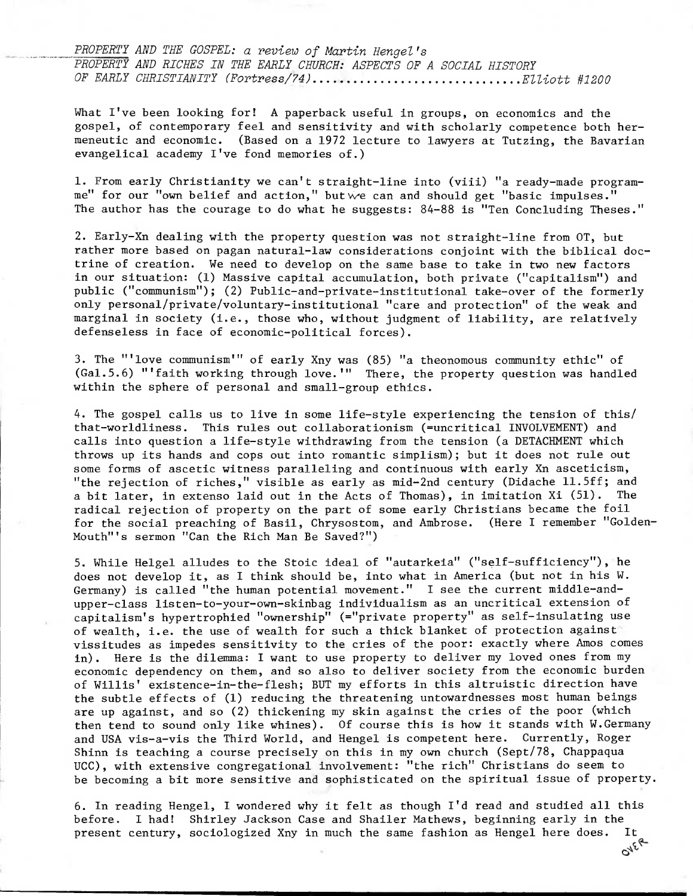PROPERTY AND THE GOSPEL: a review of Martin Hengel's PROPERTY AND RICHES IN THE EARLY CHURCH: ASPECTS OF A SOCIAL HISTORY OF EARLY CHRISTIANITY (Fortress/74)...............................Elliott #1200

What I've been looking for! A paperback useful in groups, on economics and the gospel, of contemporary feel and sensitivity and with scholarly competence both hermeneutic and economic. (Based on a 1972 lecture to lawyers at Tutzing, the Bavarian evangelical academy I've fond memories of.)

1. From early Christianity we can't straight-line into (viii) "a ready-made programme" for our "own belief and action," butwe can and should get "basic impulses." The author has the courage to do what he suggests: 84-88 is "Ten Concluding Theses."

2. Early-Xn dealing with the property question was not straight-line from OT, but rather more based on pagan natural-law considerations conjoint with the biblical doctrine of creation. We need to develop on the same base to take in two new factors in our situation: (1) Massive capital accumulation, both private ("capitalism") and public ("communism"); (2) Public-and-private-institutional take-over of the formerly only personal/private/voluntary-institutional "care and protection" of the weak and marginal in society (i.e., those who, without judgment of liability, are relatively defenseless in face of economic-political forces).

3. The "'love communism" of early Xny was (85) "a theonomous community ethic" of (Ga1.5.6) "faith working through love." There, the property question was handled within the sphere of personal and small-group ethics.

4. The gospel calls us to live in some life-style experiencing the tension of this/ that-worldliness. This rules out collaborationism (=uncritical INVOLVEMENT) and calls into question a life-style withdrawing from the tension (a DETACHMENT which throws up its hands and cops out into romantic simplism); but it does not rule out some forms of ascetic witness paralleling and continuous with early Xn asceticism, "the rejection of riches," visible as early as mid-2nd century (Didache 11.5ff; and a bit later, in extenso laid out in the Acts of Thomas), in imitation Xi (51). The radical rejection of property on the part of some early Christians became the foil for the social preaching of Basil, Chrysostom, and Ambrose. (Here I remember "Golden-Mouth"'s sermon "Can the Rich Man Be Saved?")

5. While Helgel alludes to the Stoic ideal of "autarkeia" ("self-sufficiency"), he does not develop it, as I think should be, into what in America (but not in his W. Germany) is called "the human potential movement." I see the current middle-andupper-class listen-to-your-own-skinbag individualism as an uncritical extension of capitalism's hypertrophied "ownership" (="private property" as self-insulating use of wealth, i.e. the use of wealth for such a thick blanket of protection against vissitudes as impedes sensitivity to the cries of the poor: exactly where Amos comes in). Here is the dilemma: I want to use property to deliver my loved ones from my economic dependency on them, and so also to deliver society from the economic burden of Willis' existence-in-the-flesh; BUT my efforts in this altruistic direction have the subtle effects of (1) reducing the threatening untowardnesses most human beings are up against, and so (2) thickening my skin against the cries of the poor (which then tend to sound only like whines). Of course this is how it stands with W.Germany and USA vis-a-vis the Third World, and Hengel is competent here. Currently, Roger Shinn is teaching a course precisely on this in my own church (Sept/78, Chappaqua UCC), with extensive congregational involvement: "the rich" Christians do seem to be becoming a bit more sensitive and sophisticated on the spiritual issue of property.

6. In reading Hengel, I wondered why it felt as though I'd read and studied all this before. I had! Shirley Jackson Case and Shailer Mathews, beginning early in the present century, sociologized Xny in much the same fashion as Hengel here does. It